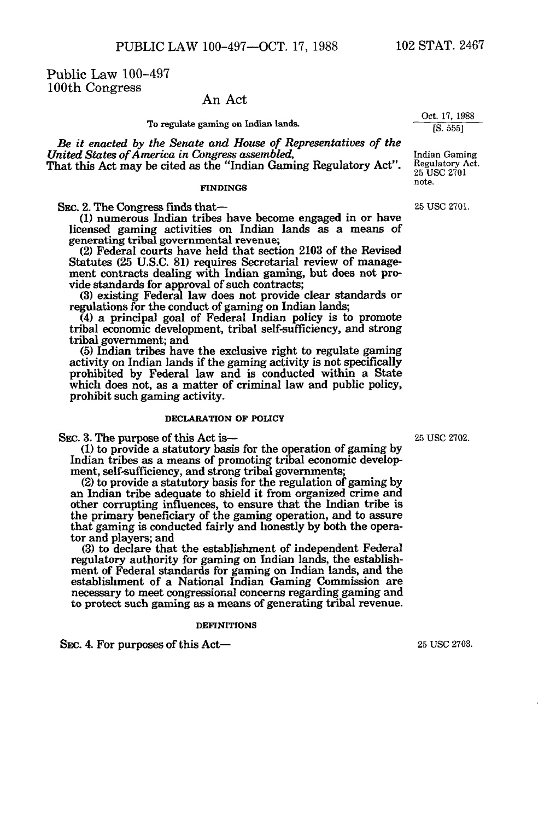Public Law 100-497 100th Congress

# An Act

To regulate gaming on Indian lands. **The Cooler of the Cooler of the Second Second** Second Second Second Second Second Second Second Second Second Second Second Second Second Second Second Second Second Second Second Secon

*Be it enacted by the Senate and House of Representatives of the United States of America in Congress assembled,* [Indian Gaming Indian Gaming]<br>That this Act may be cited as the "Indian Gaming Regulatory Act", [Regulatory Act.] That this Act may be cited as the "Indian Gaming Regulatory Act".

#### **FINDINGS**

SEC. 2. The Congress finds that- $\qquad$  25 USC 2701.

(1) numerous Indian tribes have become engaged in or have licensed gaming activities on Indian lands as a means of generating tribal governmental revenue;

(2) Federal courts have held that section **2103** of the Revised Statutes **(25 U.S.C. 81)** requires Secretarial review of management contracts dealing with Indian gaming, but does not provide standards for approval of such contracts;

**(3)** existing Federal law does not provide clear standards or regulations for the conduct of gaming on Indian lands;

(4) a principal goal of Federal Indian policy is to promote tribal economic development, tribal self-sufficiency, and strong tribal government; and

**(5)** Indian tribes have the exclusive right to regulate gaming activity on Indian lands if the gaming activity is not specifically prohibited **by** Federal law and is conducted within a State which does not, as a matter of criminal law and public policy, prohibit such gaming activity.

#### **DECLARATION OF POLICY**

SEC. 3. The purpose of this Act is - 25 USC 2702.

**(1)** to provide a statutory basis for the operation of gaming by Indian tribes as a means of promoting tribal economic development, self-sufficiency, and strong tribal governments;

(2) to provide a statutory basis for the regulation of gaming by an Indian tribe adequate to shield it from organized crime and other corrupting influences, to ensure that the Indian tribe is the primary beneficiary of the gaming operation, and to assure that gaming is conducted fairly and honestly by both the operator and players; and

**(3)** to declare that the establishment of independent Federal regulatory authority for gaming on Indian lands, the establishment of Federal standards for gaming on Indian lands, and the establishment of a National Indian Gaming Commission are necessary to meet congressional concerns regarding gaming and to protect such gaming as a means of generating tribal revenue.

#### **DEFINITIONS**

SEC. 4. For purposes of this Act-

Oct. 17, 1988

**<sup>25</sup>**USC 2701 note.

**25 USC 2703.**

102 **STAT.** 2467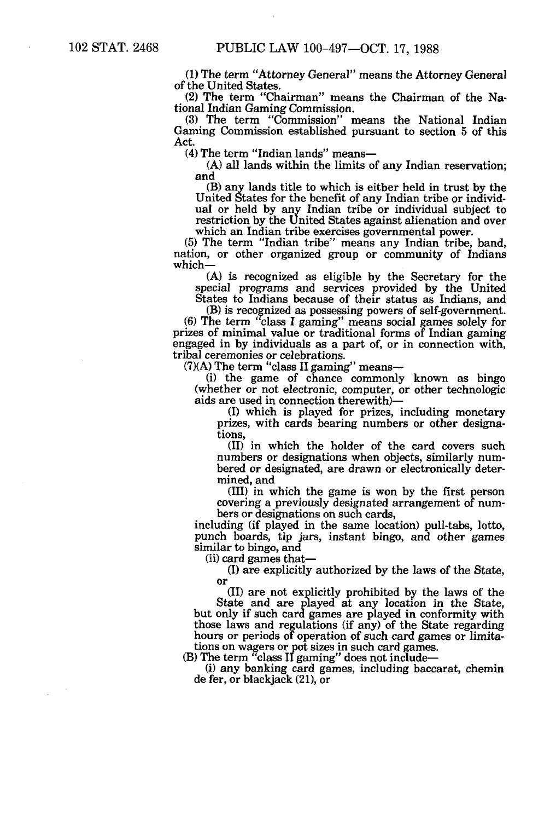**(1)** The term "Attorney General" means the Attorney General of the United States.

(2) The term "Chairman" means the Chairman of the National Indian Gaming Commission.

**(3)** The term "Commission" means the National Indian Gaming Commission established pursuant to section **5** of this Act.

(4) The term "Indian lands" means-

**(A)** all lands within the limits of any Indian reservation; and

(B) any lands title to which is either held in trust **by** the United States for the benefit of any Indian tribe or individual or held **by** any Indian tribe or individual subject to restriction **by** the United States against alienation and over which an Indian tribe exercises governmental power.

**(5)** The term "Indian tribe" means any Indian tribe, band, nation, or other organized group or community of Indians which-

**(A)** is recognized as eligible **by** the Secretary for the special programs and services provided **by** the United States to Indians because of their status as Indians, and

**(B)** is recognized as possessing powers of self-government. **(6)** The term "class **I** gaming" means social games solely for prizes of minimal value or traditional forms of Indian gaming engaged in **by** individuals as a part of, or in connection with, engaged in by individuals as a part of, or in connection with, tribal ceremonies or celebrations.

(7)(A) The term "class II gaming" means—<br>(i) the game of chance commonly known as bingo (whether or not electronic, computer, or other technologic aids are used in connection therewith)-

> (I) which is played for prizes, including monetary prizes, with cards bearing numbers or other designations,

> (II) in which the holder of the card covers such numbers or designations when objects, similarly numbered or designated, are drawn or electronically determined, and<br>(III) in which the game is won by the first person

> covering a previously designated arrangement of numbers or designations on such cards,

including (if played in the same location) pull-tabs, lotto, punch boards, tip jars, instant bingo, and other games similar to bingo, and

(ii) card games that-

(I) are explicitly authorized by the laws of the State, or

(II) are not explicitly prohibited by the laws of the State and are played at any location in the State, but only if such card games are played in conformity with those laws and regulations (if any) of the State regarding hours or periods of operation of such card games or limitations on wagers or pot sizes in such card games. (B) The term "class II gaming" does not include-

(i) any banking card games, including baccarat, chemin de fer, or blackjack (21), or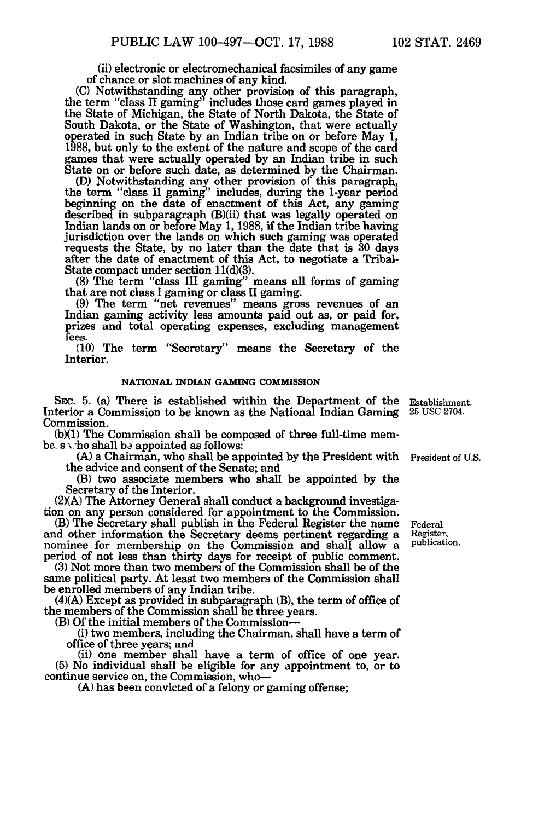(ii) electronic or electromechanical facsimiles of any game of chance or slot machines of any kind.

(C) Notwithstanding any other provision of this paragraph, the term "class II gaming" includes those card games played in the State of Michigan, the State of North Dakota, the State of South Dakota, or the State of Washington, that were actually operated in such State by an Indian tribe on or before May 1, 1988, but only to the extent of the nature and scope of the card games that were actually operated by an Indian tribe in such State on or before such date, as determined by the Chairman.

(D) Notwithstanding any other provision of this paragraph,<br>the term "class II gaming" includes, during the 1-year period<br>beginning on the date of enactment of this Act, any gaming<br>described in subparagraph (B)(ii) that was Indian lands on or before May 1, 1988, if the Indian tribe having jurisdiction over the lands on which such gaming was operated requests the State, by no later than the date that is **30** days after the date of enactment of this Act, to negotiate a Tribal-

State compact under section 11 gaming" means all forms of gaming that are not class I gaming or class II gaming.<br>
(9) The term "net revenues" means gross revenues of an

Indian gaming activity less amounts paid out as, or paid for, prizes and total operating expenses, excluding management fees.

(10) The term "Secretary" means the Secretary of the Interior.

## **NATIONAL INDIAN GAMING COMMISSION**

**SEC. 5.** (a) There is established within the Department of the Interior a Commission to be known as the National Indian Gaming Commission.

**(b)(1)** The Commission shall be composed of three full-time membe. s  $\sqrt{2}$  ho shall be appointed as follows:

**(A)** a Chairman, who shall be appointed **by** the President with President of U.S. the advice and consent of the Senate; and

(B) two associate members who shall be appointed **by** the Secretary of the Interior.

**(2)(A)** The Attorney General shall conduct a background investigation on any person considered for appointment to the Commission.

(B) The Secretary shall publish in the Federal Register the name and other information the Secretary deems pertinent regarding a nominee for membership on the Commission and shall allow a period of not less than thirty days for receipt of public comment.

**(3)** Not more than two members of the Commission shall be of the same political party. At least two members of the Commission shall be enrolled members of any Indian tribe.

(4)(A) Except as provided in subparagraph (B), the term of office of the members of the Commission shall be three years. (B) Of the initial members of the Commission-

(i) two members, including the Chairman, shall have a term of office of three years; and<br>(ii) one member shall have a term of office of one year.

(5) No individual shall be eligible for any appointment to, or to continue service on, the Commission, who-

**(A)** has been convicted of a felony or gaming offense;

Federal Register, publication.

Establishment. 25 USC 2704.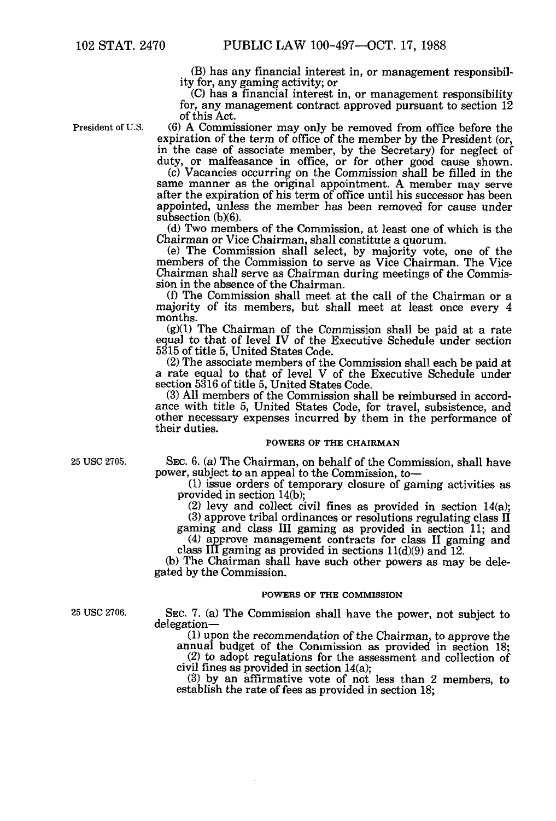(B) has any financial interest in, or management responsibility for, any gaming activity; or (C) has a financial interest in, or management responsibility

for, any management contract approved pursuant to section  $12$ of this Act.

President of U.S.

 $(6)$  A Commissioner may only be removed from office before the expiration of the term of office of the member by the President (or, in the case of associate member, by the Secretary) for neglect of duty, or malfeasance in office, or for other good cause shown.

(c) Vacancies occurring on the Commission shall be filled in the same manner as the original appointment. A member may serve after the expiration of his term of office until his successor has been appointed, unless the member has been removed for cause under subsection **(b)(6).**

(d) Two members of the Commission, at least one of which is the Chairman or Vice Chairman, shall constitute a quorum.

(e) The Commission shall select, by majority vote, one of the members of the Commission to serve as Vice Chairman. The Vice Chairman shall serve as Chairman during meetings of the Commission in the absence of the Chairman.

**(f)** The Commission shall meet at the call of the Chairman or a majority of its members, but shall meet at least once every 4 months.

**(g)(1)** The Chairman of the Commission shall be paid at a rate equal to that of level IV of the Executive Schedule under section 5315 of title 5, United States Code.

(2) The associate members of the Commission shall each be paid at a rate equal to that of level V of the Executive Schedule under section 5316 of title 5, United States Code.

(3) All members of the Commission shall be reimbursed in accordance with title 5, United States Code, for travel, subsistence, and other necessary expenses incurred by them in the performance of their duties.

# **POWERS OF THE CHAIRMAN**

25 USC 2705.

**SEC. 6.** (a) The Chairman, on behalf of the Commission, shall have power, subject to an appeal to the Commission, to-

**(1)** issue orders of temporary closure of gaming activities as provided in section 14(b);

(2) levy and collect civil fines as provided in section 14(a);

**(3)** approve tribal ordinances or resolutions regulating class II gaming and class **III** gaming as provided in section **11;** and

(4) approve management contracts for class II gaming and

class **III** gaming as provided in sections **11(d)(9)** and **12. (b)** The Chairman shall have such other powers as may be delegated **by** the Commission.

#### **POWERS OF THE COMMISSION**

25 **USC** 2706.

SEC. 7. (a) The Commission shall have the power, not subject to delegation—

(1) upon the recommendation of the Chairman, to approve the

annual budget of the Commission as provided in section **18;** (2) to adopt regulations for the assessment and collection of

civil fines as provided in section 14(a); **(3) by** an affirmative vote of not less than 2 members, to establish the rate of fees as provided in section **18;**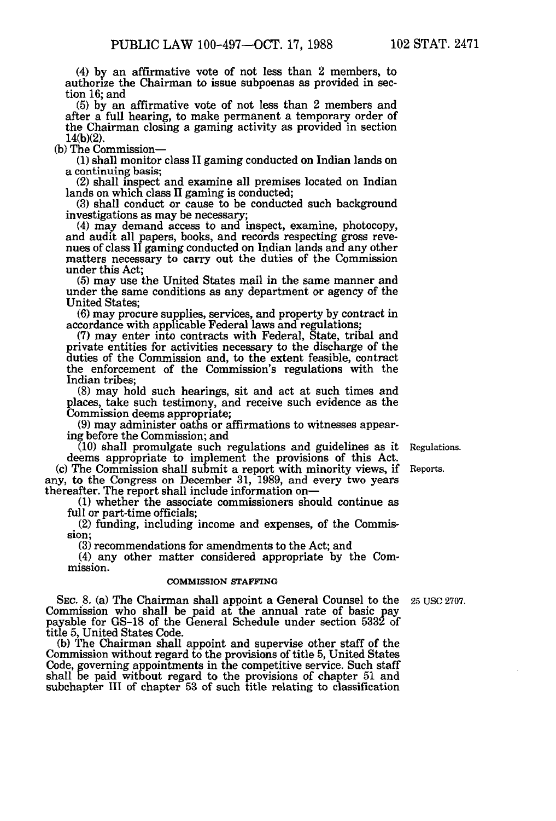(4) by an affirmative vote of not less than 2 members, to authorize the Chairman to issue subpoenas as provided in section 16; and

(5) by an affirmative vote of not less than 2 members and after a full hearing, to make permanent a temporary order of the Chairman closing a gaming activity as provided in section 14(b)(2).

(b) The Commission-

**(1)** shall monitor class II gaming conducted on Indian lands on a continuing basis;

(2) shall inspect and examine all premises located on Indian lands on which class II gaming is conducted;

(3) shall conduct or cause to be conducted such background investigations as may be necessary; (4) may demand access to and inspect, examine, photocopy,

and audit all papers, books, and records respecting gross revenues of class II gaming conducted on Indian lands and any other matters necessary to carry out the duties of the Commission under this Act;

(5) may use the United States mail in the same manner and under the same conditions as any department or agency of the United States;

 $(6)$  may procure supplies, services, and property by contract in accordance with applicable Federal laws and regulations;

 $(7)$  may enter into contracts with Federal, State, tribal and private entities for activities necessary to the discharge of the duties of the Commission and, to the extent feasible, contract the enforcement of the Commission's regulations with the Indian tribes;

(8) may hold such hearings, sit and act at such times and places, take such testimony, and receive such evidence as the Commission deems appropriate;

(9) may administer oaths or affirmations to witnesses appearing before the Commission; and

(10) shall promulgate such regulations and guidelines as it Regulations. deems appropriate to implement the provisions of this Act.

(c) The Commission shall submit a report with minority views, if Reports. any, to the Congress on December 31, 1989, and every two years thereafter. The report shall include information on-

**(1)** whether the associate commissioners should continue as full or part-time officials;

(2) funding, including income and expenses, of the Commis-

(3) recommendations for amendments to the Act; and

**(4)** any other matter considered appropriate by the Commission.

# **COMMISSION STAFFING**

**SEC. 8.** (a) The Chairman shall appoint a General Counsel to the **25 Usc 2707.** Commission who shall be paid at the annual rate of basic pay payable for GS-18 of the General Schedule under section **5332** of title 5, United States Code.

**(b)** The Chairman shall appoint and supervise other staff of the Commission without regard to the provisions of title 5, United States Code, governing appointments in the competitive service. Such staff shall be paid without regard to the provisions of chapter 51 and subchapter **III** of chapter **53** of such title relating to classification

102 **STAT.** 2471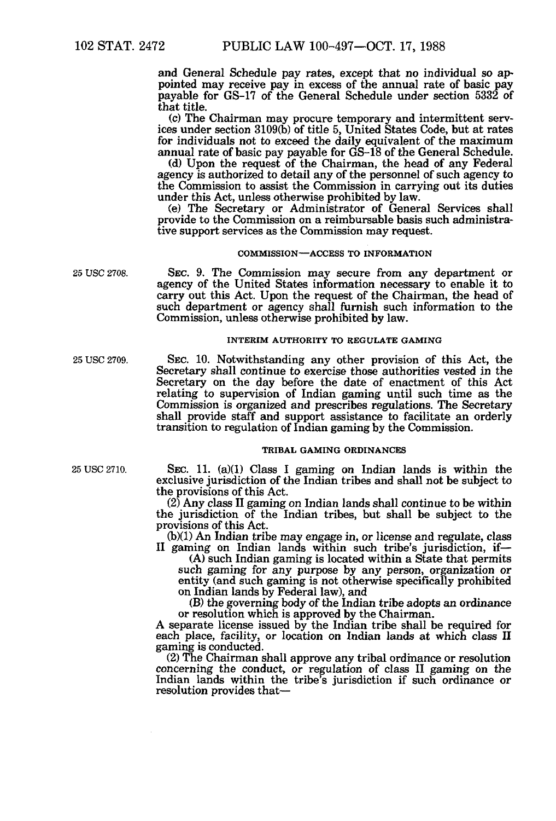and General Schedule pay rates, except that no individual so ap- pointed may receive pay in excess of the annual rate of basic pay payable for GS-17 of the General Schedule under section 5332 of that title.

(c) The Chairman may procure temporary and intermittent services under section 3109(b) of title 5, United States Code, but at rates for individuals not to exceed the daily equivalent of the maximum annual rate of basic pay payable for GS-18 of the General Schedule.

(d) Upon the request of the Chairman, the head of any Federal agency is authorized to detail any of the personnel of such agency to the Commission to assist the Commission in carrying out its duties under this Act, unless otherwise prohibited by law.

(e) The Secretary or Administrator of General Services shall provide to the Commission on a reimbursable basis such administrative support services as the Commission may request.

# **COMMISSION-ACCESS** TO **INFORMATION**

25 USC 2708. SEC. **9.** The Commission may secure from any department or agency of the United States information necessary to enable it to carry out this Act. Upon the request of the Chairman, the head of such department or agency shall furnish such information to the Commission, unless otherwise prohibited by law.

# **INTERIM AUTHORITY TO REGULATE GAMING**

**25 USC 2709. SEC. 10.** Notwithstanding any other provision of this Act, the Secretary shall continue to exercise those authorities vested in the Secretary on the day before the date of enactment of this Act relating to supervision of Indian gaming until such time as the Commission is organized and prescribes regulations. The Secretary shall provide staff and support assistance to facilitate an orderly transition to regulation of Indian gaming by the Commission.

## **TRIBAL GAMING ORDINANCES**

<sup>25</sup>**USC 2710. SEC.** 11. (a)(1) Class I gaming on Indian lands is within the exclusive jurisdiction of the Indian tribes and shall not be subject to the provisions of this Act.

> (2) Any class II gaming on Indian lands shall continue to be within the jurisdiction of the Indian tribes, but shall be subject to the provisions of this Act.

> (b)(1) An Indian tribe may engage in, or license and regulate, class II gaming on Indian lands within such tribe's jurisdiction, if—<br>(A) such Indian gaming is located within a State that permits

such gaming for any purpose by any person, organization or entity (and such gaming is not otherwise specifically prohibited on Indian lands by Federal law), and

(B) the governing body of the Indian tribe adopts an ordinance or resolution which is approved **by** the Chairman.

**A** separate license issued **by** the Indian tribe shall be required for each place, facility, or location on Indian lands at which class **II** gaming is conducted.

(2) The Chairman shall approve any tribal ordinance or resolution concerning the conduct, or regulation of class II gaming on the Indian lands within the tribe's jurisdiction if such ordinance or resolution provides that-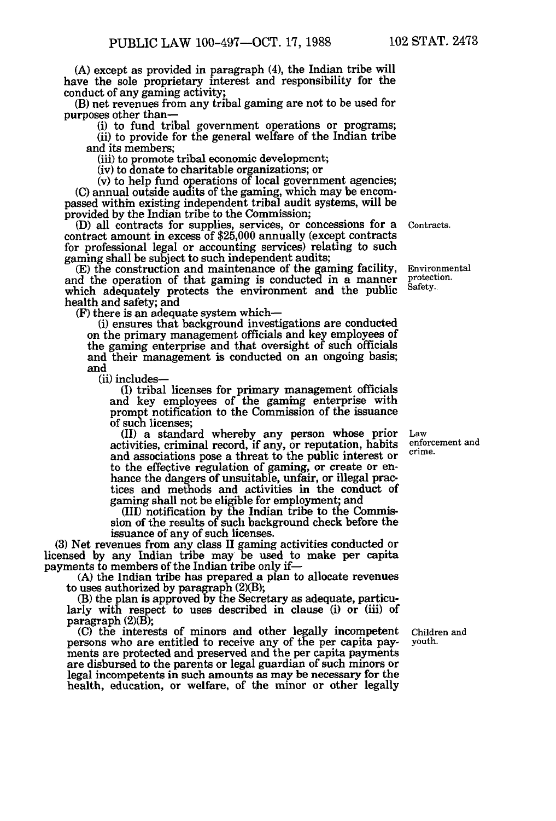(A) except as provided in paragraph (4), the Indian tribe will have the sole proprietary interest and responsibility for the conduct of any gaming activity;

(B) net revenues from any tribal gaming are not to be used for purposes other than-

(i) to fund tribal government operations or programs; (ii) to provide for the general welfare of the Indian tribe and its members;

(iii) to promote tribal economic development;

(iv) to donate to charitable organizations; or

(v) to help fund operations of local government agencies; **(C)** annual outside audits of the gaming, which may be encompassed within existing independent tribal audit systems, will be provided by the Indian tribe to the Commission;

**(D)** all contracts for supplies, services, or concessions for a contract amount in excess of \$25,000 annually (except contracts for professional legal or accounting services) relating to such gaming shall be subject to such independent audits;

**(E)** the construction and maintenance of the gaming facility, and the operation of that gaming is conducted in a manner which adequately protects the environment and the public health and safety; and

(F) there is an adequate system which-

(i) ensures that background investigations are conducted on the primary management officials and key employees of the gaming enterprise and that oversight of such officials and their management is conducted on an ongoing basis; and

(ii) includes-

(I) tribal licenses for primary management officials and key employees of the gaming enterprise with prompt notification to the Commission of the issuance of such licenses;

(II) a standard whereby any person whose prior activities, criminal record, if any, or reputation, habits and associations pose a threat to the public interest or to the effective regulation of gaming, or create or enhance the dangers of unsuitable, unfair, or illegal practices and methods and activities in the conduct of gaming shall not be eligible for employment; and

(III) notification by the Indian tribe to the Commission of the results of such background check before the issuance of any of such licenses.

(3) Net revenues from any class II gaming activities conducted or licensed by any Indian tribe may be used to make per capita payments to members of the Indian tribe only if-

**(A)** the Indian tribe has prepared a plan to allocate revenues to uses authorized by paragraph (2)(B);

(B) the plan is approved by the Secretary as adequate, particularly with respect to uses described in clause **(i)** or (iii) of paragraph (2)(B);

**(C)** the interests of minors and other legally incompetent persons who are entitled to receive any of the per capita payments are protected and preserved and the per capita payments are disbursed to the parents or legal guardian of such minors or legal incompetents in such amounts as may be necessary for the health, education, or welfare, of the minor or other legally

Children and youth.

Law enforcement and crime.

Environmental protection. Safety.

Contracts.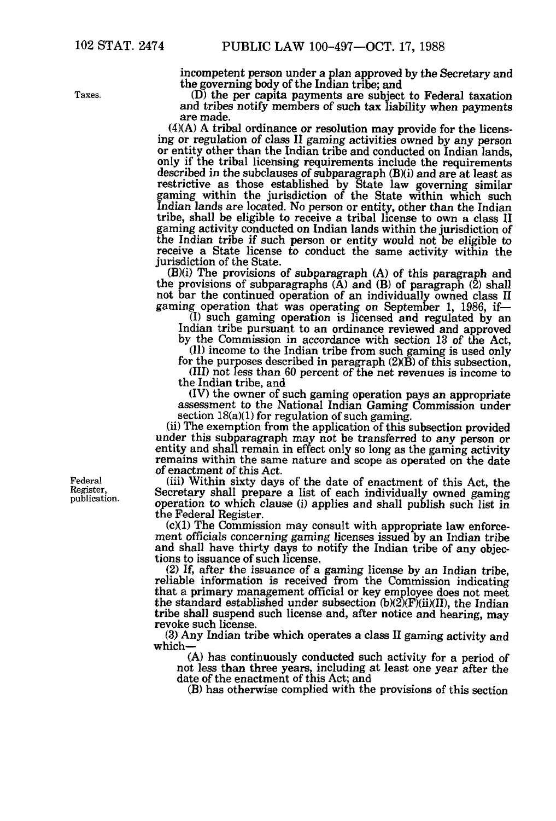incompetent person under a plan approved by the Secretary and the governing body of the Indian tribe; and

Taxes. **(D)** the per capita payments are subject to Federal taxation and tribes notify members of such tax liability when payments are made.

> (4)(A) A tribal ordinance or resolution may provide for the licensing or regulation of class II gaming activities owned by any person<br>or entity other than the Indian tribe and conducted on Indian lands, only if the tribal licensing requirements include the requirements described in the subclauses of subparagraph  $(B)(i)$  and are at least as restrictive as those established by State law governing similar gaming within the jurisdiction of the State within which such Indian lands are located. No person or entity, other than the Indian tribe, shall be eligible to receive a tribal license to own a class II gaming activity conducted on Indian lands within the jurisdiction of the Indian tribe if such person or entity would not be eligible to receive a State license to conduct the same activity within the jurisdiction of the State.

> (B)(i) The provisions of subparagraph **(A)** of this paragraph and the provisions of subparagraphs  $(A)$  and  $(B)$  of paragraph  $(2)$  shall not bar the continued operation of an individually owned class II gaming operation that was operating on September 1, 1986, if-

**(I)** such gaming operation is licensed and regulated by an

by the Commission in accordance with section 13 of the Act,<br>(II) income to the Indian tribe from such gaming is used only<br>for the purposes described in paragraph  $(2)(B)$  of this subsection,<br>(III) not less than 60 percent

the Indian tribe, and

(IV) the owner of such gaming operation pays an appropriate assessment to the National Indian Gaming Commission under<br>section 18(a)(1) for regulation of such gaming.

(ii) The exemption from the application of this subsection provided under this subparagraph may not be transferred to any person or entity and shall remain in effect only so long as the gaming activity remains within the same nature and scope as operated on the date

Federal (iii) Within sixty days of the date of enactment of this Act, the Register,<br>Register, Secretary shall prepare a list of each individually owned gaming<br>publication. operation to which clause (i) applies and shall pu the Federal Register.

(c)(1) The Commission may consult with appropriate law enforcement officials concerning gaming licenses issued by an Indian tribe and shall have thirty days to notify the Indian tribe of any objec- tions to issuance of such license.

(2) If, after the issuance of a gaming license by an Indian tribe, reliable information is received from the Commission indicating that a primary management official or key employee does not meet that a primary management official or key employee does not meet<br>the standard established under subsection  $(b)(2)(F)(ii)(II)$ , the Indian tribe shall suspend such license and, after notice and hearing, may revoke such license.

**(3)** Any Indian tribe which operates a class II gaming activity and which-

(A) has continuously conducted such activity for a period of not less than three years, including at least one year after the date of the enactment of this Act; and

(B) has otherwise complied with the provisions of this section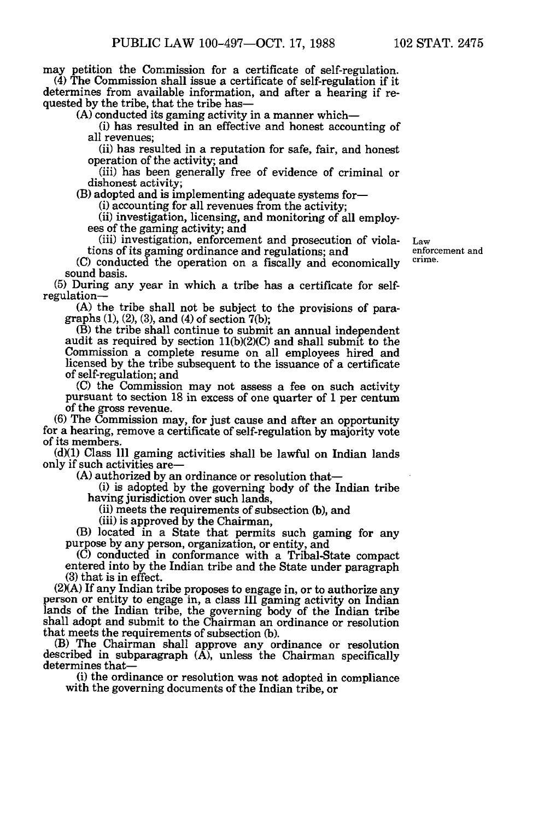may petition the Commission for a certificate of self-regulation. (4) The Commission shall issue a certificate of self-regulation if it determines from available information, and after a hearing if requested by the tribe, that the tribe has—

(A) conducted its gaming activity in a manner which-

(i) has resulted in an effective and honest accounting of all revenues;

(ii) has resulted in a reputation for safe, fair, and honest operation of the activity; and

(iii) has been generally free of evidence of criminal or dishonest activity;

(B) adopted and is implementing adequate systems for-

(i) accounting for all revenues from the activity;

(ii) investigation, licensing, and monitoring of all employ- ees of the gaming activity; and

(iii) investigation, enforcement and prosecution of violations of its gaming ordinance and regulations; and

(C) conducted the operation on a fiscally and economically sound basis.

(5) During any year in which a tribe has a certificate for selfregulation-

(A) the tribe shall not be subject to the provisions of paragraphs (1), (2), (3), and (4) of section 7(b);

(B) the tribe shall continue to submit an annual independent audit as required by section  $11(b)(2)(C)$  and shall submit to the Commission a complete resume on all employees hired and licensed by the tribe subsequent to the issuance of a certificate of self-regulation; and

(C) the Commission may not assess a fee on such activity pursuant to section 18 in excess of one quarter of 1 per centum

 $(6)$  The Commission may, for just cause and after an opportunity for a hearing, remove a certificate of self-regulation by majority vote of its members.

(d)(1) Class III gaming activities shall be lawful on Indian lands only if such activities are—<br>(A) authorized by an ordinance or resolution that—

(i) is adopted by the governing body of the Indian tribe having jurisdiction over such lands,

(ii) meets the requirements of subsection (b), and

(iii) is approved by the Chairman,

(B) located in a State that permits such gaming for any purpose by any person, organization, or entity, and

entered into by the Indian tribe and the State under paragraph (3) that is in effect.

(2)(A) If any Indian tribe proposes to engage in, or to authorize any person or entity to engage in, a class **III** gaming activity on Indian lands of the Indian tribe, the governing body of the Indian tribe shall adopt and submit to the Chairman an ordinance or resolution that meets the requirements of subsection (b).

(B) The Chairman shall approve any ordinance or resolution described in subparagraph (A), unless the Chairman specifically determines that-

(i) the ordinance or resolution was not adopted in compliance with the governing documents of the Indian tribe, or

Law enforcement and crime.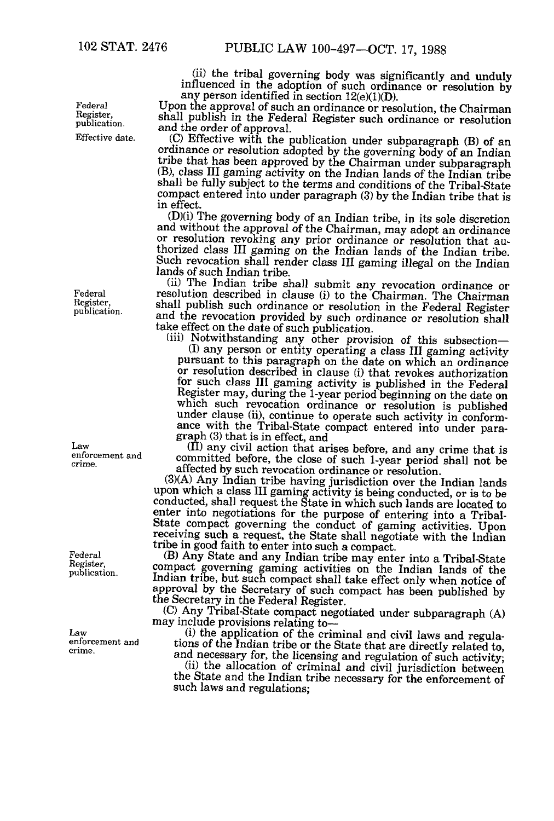(ii) the tribal governing body was significantly and unduly influenced in the adoption of such ordinance or resolution by any person identified in section  $12(e)(1)(D)$ .

Upon the approval of such an ordinance or resolution, the Chairman<br>shall publish in the Federal Register such ordinance or resolution<br>and the order of approval.<br>(C) Effective with the publication under subparagraph (B) of compact entered into under paragraph (3) by the Indian tribe that is<br>in effect.<br>(D)(i) The governing body of an Indian tribe, in its sole discretion

and without the approval of the Chairman, may adopt an ordinance or resolution revoking any prior ordinance or resolution that authorized class III gaming on the Indian lands of the Indian tribe.<br>Such revocation shall render class III gaming illegal on the Indian<br>lands of such Indian tribe.<br>(ii) The Indian tribe shall submit any revocation ordinance

resolution described in clause (i) to the Chairman. The Chairman shall publish such ordinance or resolution in the Federal Register and the revocation provided by such ordinance or resolution shall take effect on the date

(iii) Notwithstanding any other provision of this subsection—<br>(I) any person or entity operating a class III gaming activity<br>pursuant to this paragraph on the date on which an ordinance<br>or resolution described in clause ( for such class III gaming activity is published in the Federal Register may, during the 1-year period beginning on the date on which such revocation ordinance or resolution is published under clause (ii), continue to opera

graph (3) that is in effect, and<br>(II) any civil action that arises before, and any crime that is<br>committed before, the close of such 1-year period shall not be<br>affected by such revocation ordinance or resolution.<br>(3)(A) An

upon which a class III gaming activity is being conducted, or is to be conducted, shall request the State in which such lands are located to enter into negotiations for the purpose of entering into a Tribal-State compact g

Indian tribe, but such compact shall take effect only when notice of<br>approval by the Secretary of such compact has been published by<br>the Secretary in the Federal Register.<br>(C) Any Tribal-State compact negotiated under subp

(i) the application of the criminal and civil laws and regulations of the Indian tribe or the State that are directly related to, and necessary for, the licensing and regulation of such activity; (ii) the allocation of cr

such laws and regulations;

Register, publication. Effective date.

Federal

Federal Register, publication.

Law enforcement and crime.

Federal Register, publication.

Law enforcement and crime.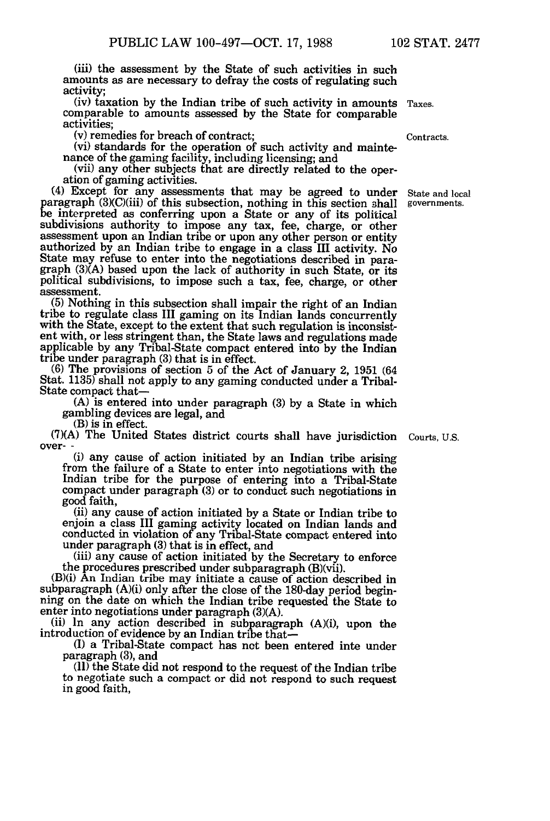(iii) the assessment by the State of such activities in such amounts as are necessary to defray the costs of regulating such activity;<br>(iv) taxation by the Indian tribe of such activity in amounts

(iv) taxation by the Indian tribe of such activity in amounts Taxes. comparable to amounts assessed by the State for comparable activities;

 $(v)$  remedies for breach of contract;<br> $(vi)$  standards for the operation of such activity and mainte-(vi) standards for the operation of such activity and mainte- nance of the gaming facility, including licensing; and

(vii) any other subjects that are directly related to the operation of gaming activities.

(4) Except for any assessments that may be agreed to under State paragraph (3)(C)(iii) of this subsection, nothing in this section shall govern<br>be interpreted as conferring upon a State or any of its political<br>subdivisions authority to impose any tax, fee, charge, or other subdivisions authority to impose any tax, fee, charge, or other assessment upon an Indian tribe or upon any other person or entity authorized by an Indian tribe to engage in a class **III** activity. No State may refuse to e graph  $(3)(A)$  based upon the lack of authority in such State, or its political subdivisions, to impose such a tax, fee, charge, or other assessment.

**(5)** Nothing in this subsection shall impair the right of an Indian tribe to regulate class III gaming on its Indian lands concurrently with the State, except to the extent that such regulation is inconsistent with, or less stringent than, the State laws and regulations made applicable by any Tribal-State compact entered into by the Indian tribe under paragraph (3) that is in effect.<br>
(6) The provisions of section 5 of the Act of January 2, 1951 (64

Stat. 1135) shall not apply to any gaming conducted under a Tribal-State compact that-

(A) is entered into under paragraph **(3)** by a State in which gambling devices are legal, and

(B) is in effect.

(7)(A) The United States district courts shall have jurisdiction Courts **.** U.S. over- -

(i) any cause of action initiated by an Indian tribe arising from the failure of a State to enter into negotiations with the Indian tribe for the purpose of entering into a Tribal-State compact under paragraph **(3)** or to conduct such negotiations in good faith,

(ii) any cause of action initiated by a State or Indian tribe to enjoin a class III gaming activity located on Indian lands and conducted in violation of any Tribal-State compact entered into under paragraph (3) that is in effect, and

(iii) any cause of action initiated by the Secretary to enforce the procedures prescribed under subparagraph  $(B)(vi)$ . the procedures prescribed under subparagraph (B)(vii). (B)(i) An Indian tribe may initiate a cause of action described in

subparagraph (A)(i) only after the close of the 180-day period begin-<br>ning on the date on which the Indian tribe requested the State to ning on the date on which the Indian tribe requested the State to enter into negotiations under paragraph  $(3)(A)$ .<br>(ii) In any action described in subparagraph  $(A)(i)$ , upon the

introduction of evidence by an Indian tribe that-

(I) a Tribal-State compact has not been entered into under paragraph (3), and

(II) the State did not respond to the request of the Indian tribe to negotiate such a compact or did not respond to such request in good faith,

Contracts.

State and local governments.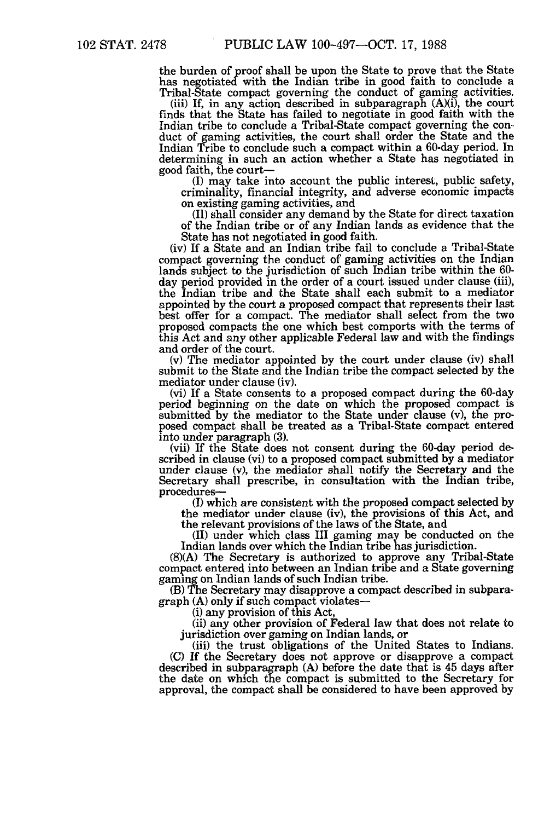the burden of proof shall be upon the State to prove that the State has negotiated with the Indian tribe in good faith to conclude a Tribal-State compact governing the conduct of gaming activities.

(iii) If, in any action described in subparagraph (A)(i), the court finds that the State has failed to negotiate in good faith with the Indian tribe to conclude a Tribal-State compact governing the conduct of gaming activities, the court shall order the State and the Indian Tribe to conclude such a compact within a 60-day period. In determining in such an action whether a State has negotiated in good faith, the court-

(I) may take into account the public interest, public safety, criminality, financial integrity, and adverse economic impacts on existing gaming activities, and

(II) shall consider any demand by the State for direct taxation of the Indian tribe or of any Indian lands as evidence that the State has not negotiated in good faith.

(iv) If a State and an Indian tribe fail to conclude a Tribal-State compact governing the conduct of gaming activities on the Indian lands subject to the jurisdiction of such Indian tribe within the **60** day period provided in the order of a court issued under clause (iii), the Indian tribe and the State shall each submit to a mediator appointed by the court a proposed compact that represents their last best offer for a compact. The mediator shall select from the two proposed compacts the one which best comports with the terms of this Act and any other applicable Federal law and with the findings and order of the court.

(v) The mediator appointed by the court under clause (iv) shall submit to the State and the Indian tribe the compact selected by the mediator under clause (iv).

(vi) If a State consents to a proposed compact during the 60-day period beginning on the date on which the proposed compact is submitted by the mediator to the State under clause (v), the proposed compact shall be treated as a Tribal-State compact entered into under paragraph (3).

(vii) If the State does not consent during the 60-day period described in clause (vi) to a proposed compact submitted by a mediator under clause (v), the mediator shall notify the Secretary and the Secretary shall prescribe, in consultation with the Indian tribe, procedures—<br>(I) which are consistent with the proposed compact selected by

the mediator under clause (iv), the provisions of this Act, and the relevant provisions of the laws of the State, and

(II) under which class III gaming may be conducted on the Indian lands over which the Indian tribe has jurisdiction.

**(8)(A)** The Secretary is authorized to approve any Tribal-State compact entered into between an Indian tribe and a State governing gaming on Indian lands of such Indian tribe.

(B) The Secretary may disapprove a compact described in subparagraph **(A)** only if such compact violates-

(i) any provision of this Act,

(ii) any other provision of Federal law that does not relate to jurisdiction over gaming on Indian lands, or

(iii) the trust obligations of the United States to Indians. **(C)** If the Secretary does not approve or disapprove a compact described in subparagraph **(A)** before the date that is 45 days after the date on which the compact is submitted to the Secretary for approval, the compact shall be considered to have been approved **by**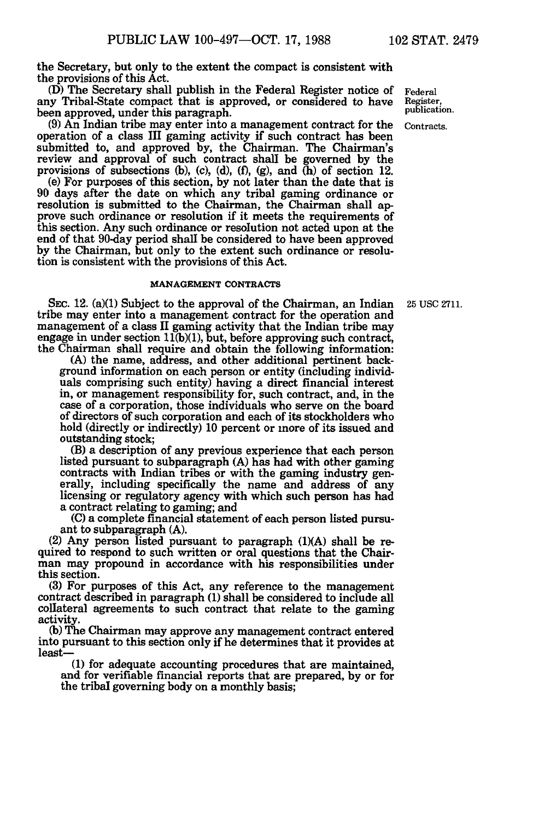the Secretary, but only to the extent the compact is consistent with the provisions of this Act.

(D) The Secretary shall publish in the Federal Register notice of Federal (D) Tribal-State compact that is approved, or considered to have Register any Tribal-State compact that is approved, or considered to have Register,<br>heap approved under this percepant. been approved, under this paragraph.

(9) An Indian tribe may enter into a management contract for the Contracts. operation of a class III gaming activity if such contract has been submitted to, and approved by, the Chairman. The Chairman's review and approval of such contract shall be governed by the provisions of subsections (b), (c), (d),  $(f)$ ,  $(g)$ , and  $(h)$  of section 12.

(e) For purposes of this section, by not later than the date that is **90** days after the date on which any tribal gaming ordinance or resolution is submitted to the Chairman, the Chairman shall approve such ordinance or resolution if it meets the requirements of this section. Any such ordinance or resolution not acted upon at the by the Chairman, but only to the extent such ordinance or resolution is consistent with the provisions of this Act.

## **MANAGEMENT CONTRACTS**

**SEC.** 12. (a)(1) Subject to the approval of the Chairman, an Indian **25 USC 2711.** tribe may enter into a management contract for the operation and management of a class **II** gaming activity that the Indian tribe may engage in under section **11(b)(1),** but, before approving such contract, the Chairman shall require and obtain the following information:

**(A)** the name, address, and other additional pertinent background information on each person or entity (including individuals comprising such entity) having a direct financial interest in, or management responsibility for, such contract, and, in the case of a corporation, those individuals who serve on the board of directors of such corporation and each of its stockholders who hold (directly or indirectly) **10** percent or more of its issued and outstanding stock;

(B) a description of any previous experience that each person listed pursuant to subparagraph **(A)** has had with other gaming contracts with Indian tribes or with the gaming industry generally, including specifically the name and address of any licensing or regulatory agency with which such person has had a contract relating to gaming; and

**(C)** a complete financial statement of each person listed pursuant to subparagraph **(A).**

(2) Any person listed pursuant to paragraph  $(1)(A)$  shall be required to respond to such written or oral questions that the Chair-<br>man may propound in accordance with his responsibilities under this section.

**(3)** For purposes of this Act, any reference to the management contract described in paragraph **(1)** shall be considered to include all collateral agreements to such contract that relate to the gaming activity.

**(b)** The Chairman may approve any management contract entered into pursuant to this section only **if** he determines that it provides at least-

**(1)** for adequate accounting procedures that are maintained, and for verifiable financial reports that are prepared, **by** or for the tribal governing body on a monthly basis;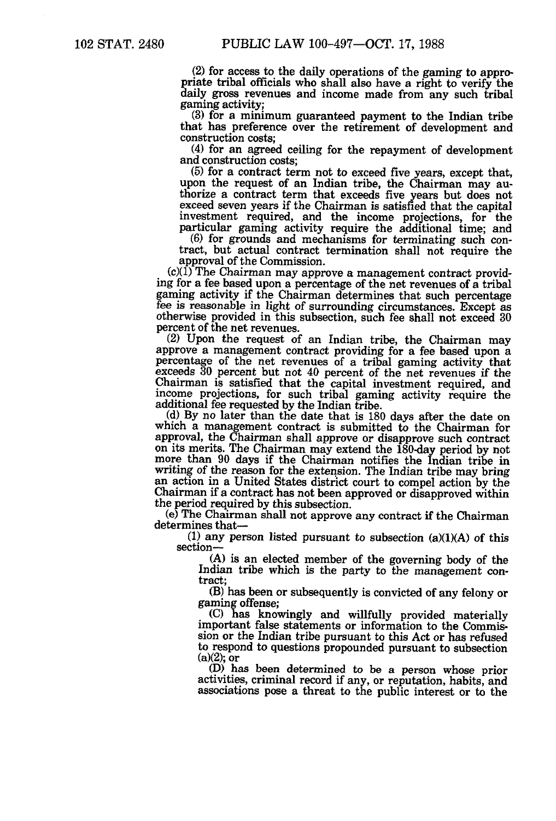(2) for access to the daily operations of the gaming to appro- priate tribal officials who shall also have a right to verify the daily gross revenues and income made from any such tribal gaming activity:

(3) for a minimum guaranteed payment to the Indian tribe that has preference over the retirement of development and construction costs;

(4) for an agreed ceiling for the repayment of development and construction costs; **(5)** for a contract term not to exceed five years, except that,

upon the request of an Indian tribe, the Chairman may authorize a contract term that exceeds five years but does not exceed seven years if the Chairman is satisfied that the capital investment required, and the income projections, for the particular gaming activity require the additional time; and

(6) for grounds and mechanisms for terminating such contract, but actual contract termination shall not require the

approval of the Commission.<br> $(c)(1)$  The Chairman may approve a management contract providing for a fee based upon a percentage of the net revenues of a tribal<br>gaming activity if the Chairman determines that such percentage fee is reasonable in light of surrounding circumstances. Except as otherwise provided in this subsection, such fee shall not exceed **<sup>30</sup>** percent of the net revenues.

(2) Upon the request of an Indian tribe, the Chairman may approve a management contract providing for a fee based upon a percentage of the net revenues of a tribal gaming activity that exceeds 30 percent but not 40 percent *of* the net revenues if the Chairman is satisfied that the capital investment required, and income projections, for such tribal gaming activity require the additional fee requested by the Indian tribe.

**(d)** By no later than the date that is 180 days after the date on which a management contract is submitted to the Chairman for approval, the Chairman shall approve or disapprove such contract on its merits. The Chairman may extend the 180-day period by not more than **90** days if the Chairman notifies the Indian tribe in writing of the reason for the extension. The Indian tribe may bring an action in a United States district court to compel action by the Chairman if a contract has not been approved or disapproved within the period required by this subsection.

(e) The Chairman shall not approve any contract if the Chairman determines that-

(1) any person listed pursuant to subsection  $(a)(1)(A)$  of this section-

**(A)** is an elected member of the governing body of the Indian tribe which is the party to the management contract;

(B) has been or subsequently is convicted of any felony or gaming offense;

(C) has knowingly and willfully provided materially important false statements or information to the Commission or the Indian tribe pursuant to this Act or has refused to respond to questions propounded pursuant to subsection (a)(2); or

**(D)** has been determined to be a person whose prior activities, criminal record if any, or reputation, habits, and associations pose a threat to the public interest or to the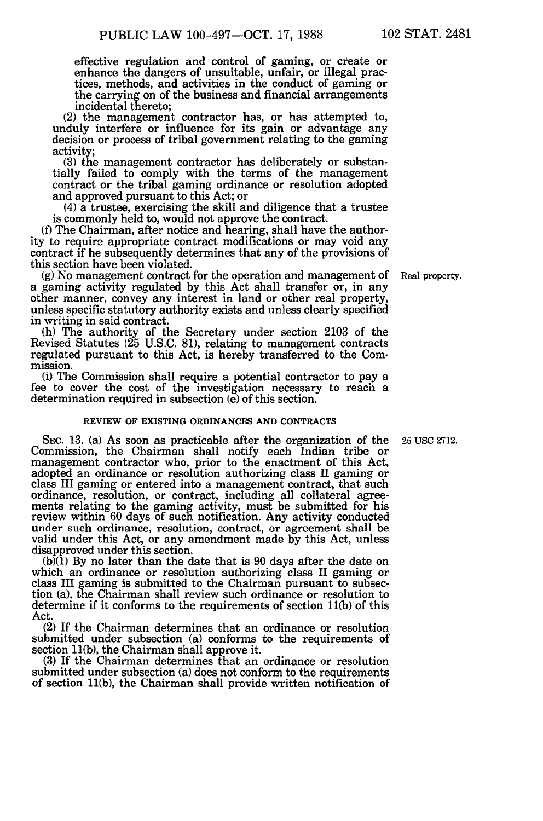effective regulation and control of gaming, or create or enhance the dangers of unsuitable, unfair, or illegal practices, methods, and activities in the conduct of gaming or the carrying on of the business and financial arrangements incidental thereto;

(2) the management contractor has, or has attempted to, unduly interfere or influence for its gain or advantage any decision or process of tribal government relating to the gaming

 $(3)$  the management contractor has deliberately or substantially failed to comply with the terms of the management contract or the tribal gaming ordinance or resolution adopted and approved pursuant to this Act; or

(4) a trustee, exercising the skill and diligence that a trustee is commonly held to, would not approve the contract.

(f) The Chairman, after notice and hearing, shall have the authority to require appropriate contract modifications or may void any contract if he subsequently determines that any of the provisions of this section have been violated.

(g) No management contract for the operation and management of Real property. a gaming activity regulated by this Act shall transfer or, in any other manner, convey any interest in land or other real property, unless specific statutory authority exists and unless clearly specified in writing in said contract.

(h) The authority of the Secretary under section 2103 of the Revised Statutes (25 U.S.C. 81), relating to management contracts regulated pursuant to this Act, is hereby transferred to the Commission.

(i) The Commission shall require a potential contractor to pay a fee to cover the cost of the investigation necessary to reach a determination required in subsection (e) of this section.

#### REVIEW OF **EXISTING ORDINANCES AND CONTRACTS**

**SEC. 13.** (a) As soon as practicable after the organization of the 25 **USC 2712.** Commission, the Chairman shall notify each Indian tribe or management contractor who, prior to the enactment of this Act, adopted an ordinance or resolution authorizing class **II** gaming or class III gaming or entered into a management contract, that such ordinance, resolution, or contract, including all collateral agreements relating to the gaming activity, must be submitted for his review within **60** days of such notification. Any activity conducted under such ordinance, resolution, contract, or agreement shall be valid under this Act, or any amendment made **by** this Act, unless disapproved under this section.

(b)(1) By no later than the date that is 90 days after the date on which an ordinance or resolution authorizing class II gaming or class III gaming is submitted to the Chairman pursuant to subsection (a), the Chairman shall review such ordinance or resolution to determine if it conforms to the requirements of section **11(b)** of this Act.

(2) If the Chairman determines that an ordinance or resolution submitted under subsection (a) conforms to the requirements of section 11(b), the Chairman shall approve it.

(3) If the Chairman determines that an ordinance or resolution submitted under subsection (a) does not conform to the requirements of section 11(b), the Chairman shall provide written notification of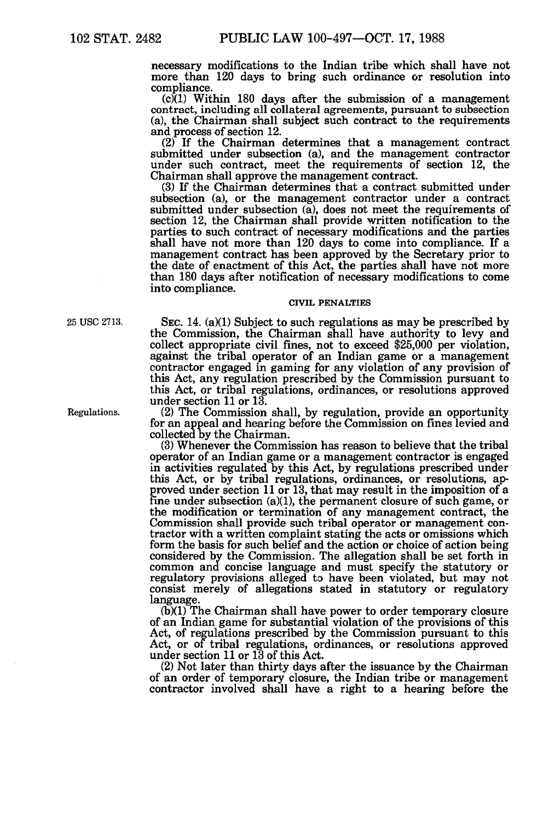necessary modifications to the Indian tribe which shall have not more than 120 days to bring such ordinance or resolution into

 $(c)(1)$  Within 180 days after the submission of a management contract, including all collateral agreements, pursuant to subsection (a), the Chairman shall subject such contract to the requirements and process of section 12.

(2) If the Chairman determines that a management contract submitted under subsection (a), and the management contractor under such contract, meet the requirements of section 12, the Chairman shall approve the management contract.

(3) If the Chairman determines that a contract submitted under subsection (a), or the management contractor under a contract submitted under subsection (a), does not meet the requirements of section 12, the Chairman shall provide written notification to the parties to such contract of necessary modifications and the parties shall have not more than 120 days to come into compliance. If a management contract has been approved by the Secretary prior to the date of enactment of this Act, the parties shall have not more than 180 days after notification of necessary modifications to come into compliance.

## CIVIL **PENALTIES**

**25 USC 2713. SEC.** 14. (a)(1) Subject to such regulations as may be prescribed **by** the Commission, the Chairman shall have authority to levy and collect appropriate civil fines, not to exceed **\$25,000** per violation, against the tribal operator of an Indian game or a management contractor engaged in gaming for any violation of any provision of this Act, any regulation prescribed **by** the Commission pursuant to this Act, or tribal regulations, ordinances, or resolutions approved under section 11 or **13.**

Regulations. (2) The Commission shall, by regulation, provide an opportunity for an appeal and hearing before the Commission on fines levied and collected by the Chairman.

(3) Whenever the Commission has reason to believe that the tribal in activities regulated by this Act, by regulations prescribed under this Act, or by tribal regulations, ordinances, or resolutions, ap- proved under section 11 or 13, that may result in the imposition of a fine under subsection (a)(1), the permanent closure of such game, or the modification or termination of any management contract, the Commission shall provide such tribal operator or management contractor with a written complaint stating the acts or omissions which form the basis for such belief and the action or choice of action being considered by the Commission. The allegation shall be set forth in common and concise language and must specify the statutory or regulatory provisions alleged to have been violated, but may not consist merely of allegations stated in statutory or regulatory language.

(b)(1) The Chairman shall have power to order temporary closure of an Indian game for substantial violation of the provisions of this Act, of regulations prescribed by the Commission pursuant to this Act, or of tribal regulations, ordinances, or resolutions approved under section 11 or 13 of this Act.

(2) Not later than thirty days after the issuance by the Chairman of an order of temporary closure, the Indian tribe or management contractor involved shall have a right to a hearing before the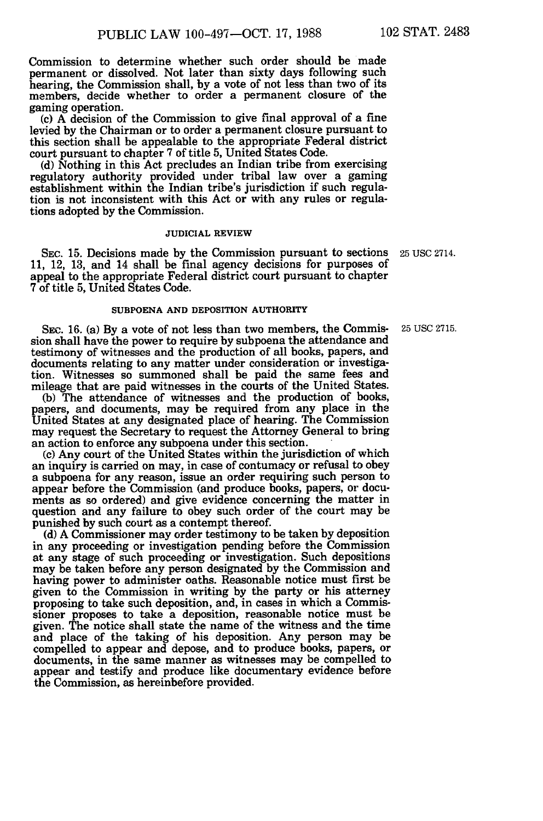Commission to determine whether such order should be made permanent or dissolved. Not later than sixty days following such hearing, the Commission shall, by a vote of not less than two of its members, decide whether to order a permanent closure of the gaming operation.

(c) A decision of the Commission to give final approval of a fine levied by the Chairman or to order a permanent closure pursuant to this section shall be appealable to the appropriate Federal district court pursuant to chapter **7** of title 5, United States Code.

**(d)** Nothing in this Act precludes an Indian tribe from exercising regulatory authority provided under tribal law over a gaming establishment within the Indian tribe's jurisdiction **if** such regulation is not inconsistent with this Act or with any rules or regulations adopted by the Commission.

# **JUDICIAL** REVIEW

**SEC.** 15. Decisions made by the Commission pursuant to sections 25 Usc 2714. 11, 12, 13, and 14 shall be final agency decisions for purposes of appeal to the appropriate Federal district court pursuant to chapter 7 of title 5, United States Code.

#### **SUBPOENA AND DEPOSITION AUTHORITY**

SEC. **16.** (a) **By** a vote of not less than two members, the Commis- **25 Usc 2715.** sion shall have the power to require **by** subpoena the attendance and testimony of witnesses and the production of all books, papers, and documents relating to any matter under consideration or investigation. Witnesses so summoned shall be paid the same fees and mileage that are paid witnesses in the courts of the United States.

**(b)** The attendance of witnesses and the production of books, papers, and documents, may be required from any place in the United States at any designated place of hearing. The Commission may request the Secretary to request the Attorney General to bring an action to enforce any subpoena under this section.

(c) Any court of the United States within the jurisdiction of which an inquiry is carried on may, in case of contumacy or refusal to obey a subpoena for any reason, issue an order requiring such person to appear before the Commission (and produce books, papers, or documents as so ordered) and give evidence concerning the matter in question and any failure to obey such order of the court may be punished **by** such court as a contempt thereof.

**(d) A** Commissioner may order testimony to be taken **by** deposition in any proceeding or investigation pending before the Commission at any stage of such proceeding or investigation. Such depositions may be taken before any person designated **by** the Commission and having power to administer oaths. Reasonable notice must first be given to the Commission in writing by the party or his atterney proposing to take such deposition, and, in cases in which a Commissioner proposes to take a deposition, reasonable notice must be given. The notice shall state the name of the witness and the time and place of the taking of his deposition. Any person may be compelled to appear and depose, and to produce books, papers, or documents, in the same manner as witnesses may be compelled to appear and testify and produce like documentary evidence before the Commission, as hereinbefore provided.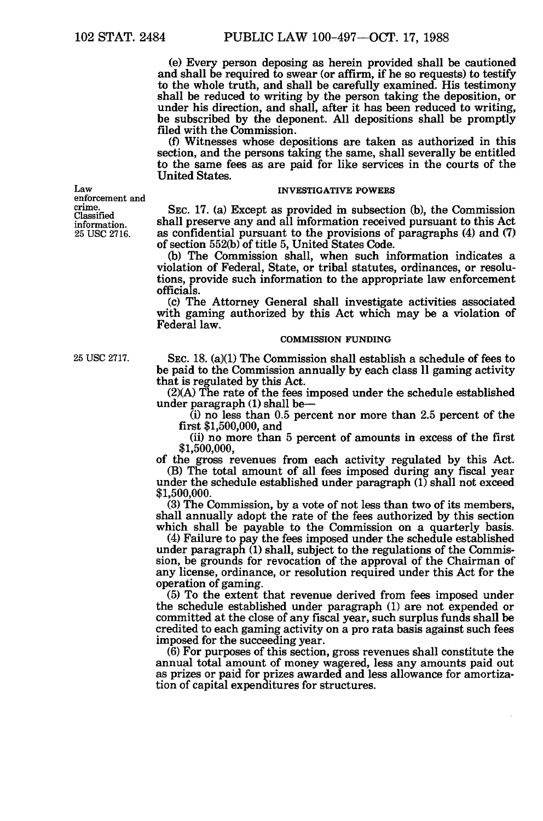(e) Every person deposing as herein provided shall be cautioned and shall be required to swear (or affirm, if he so requests) to testify to the whole truth, and shall be carefully examined. His testimony shall be reduced to writing by the person taking the deposition, or under his direction, and shall, after it has been reduced to writing, be subscribed by the deponent. **All** depositions shall be promptly filed with the Commission.

**(f)** Witnesses whose depositions are taken as authorized in this section, and the persons taking the same, shall severally be entitled to the same fees as are paid for like services in the courts of the United States.

# Law INVESTIGATIVE POWERS

SEC. 17. (a) Except as provided in subsection (b), the Commission Example in shall preserve any and all information received pursuant to this Act  $\frac{1}{25}$  as confidential pursuant to the provisions of paragraphs (4) and (7) **25 Usc 2716.** as confidential pursuant to the provisions of paragraphs (4) and **(7)** of section **552(b)** of title **5,** United States Code.

> **(b)** The Commission shall, when such information indicates a violation of Federal, State, or tribal statutes, ordinances, or resolutions, provide such information to the appropriate law enforcement officials.

> (c) The Attorney General shall investigate activities associated with gaming authorized **by** this Act which may be a violation of Federal law.

#### COMMISSION **FUNDING**

**25 USC 2717.** SEC. **18.** (a)(1) The Commission shall establish a schedule of fees to be paid to the Commission annually **by** each class II gaming activity that is regulated **by** this Act.

**(2)(A)** The rate of the fees imposed under the schedule established under paragraph **(1)** shall be-

(i) no less than **0.5** percent nor more than **2.5** percent of the first **\$1,500,000,** and

(ii) no more than 5 percent of amounts in excess of the first  $$1,500,000$ ,

**\$1,500,000,** of the gross revenues from each activity regulated **by** this Act.

(B) The total amount of all fees imposed during any fiscal year under the schedule established under paragraph **(1)** shall not exceed **\$1,500,000. (3)** The Commission, **by** a vote of not less than two of its members,

shall annually adopt the rate of the fees authorized **by** this section which shall be payable to the Commission on a quarterly basis.

(4) Failure to pay the fees imposed under the schedule established under paragraph **(1)** shall, subject to the regulations of the Commission, be grounds for revocation of the approval of the Chairman of any license, ordinance, or resolution required under this Act for the operation of gaming. **(5)** To the extent that revenue derived from fees imposed under

the schedule established under paragraph **(1)** are not expended or committed at the close of any fiscal year, such surplus funds shall be credited to each gaming activity on a pro rata basis against such fees

imposed for the succeeding year. (6) For purposes of this section, gross revenues shall constitute the annual total amount of money wagered, less any amounts paid out as prizes or paid for prizes awarded and less allowance for amortization of capital expenditures for structures.

enforcement and

Classified<br>information.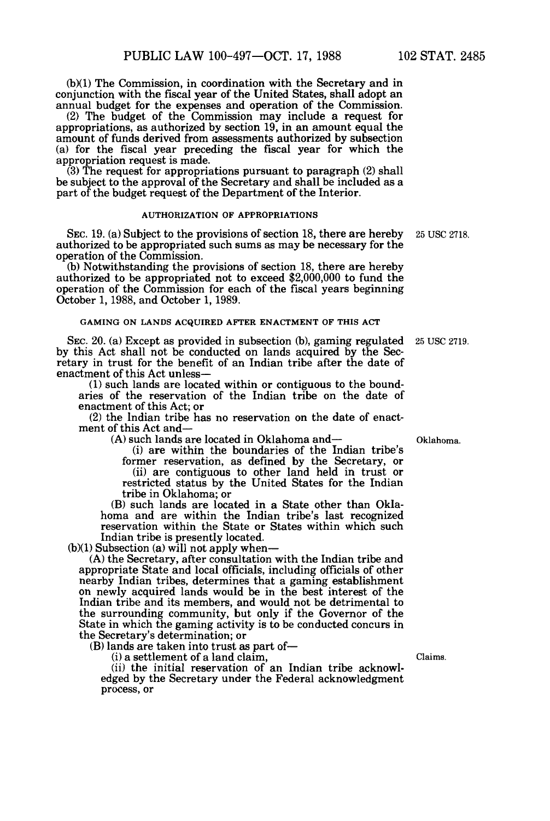(b)(1) The Commission, in coordination with the Secretary and in conjunction with the fiscal year of the United States, shall adopt an annual budget for the expenses and operation of the Commission.

(2) The budget of the Commission may include a request for appropriations, as authorized by section 19, in an amount equal the amount of funds derived from assessments authorized by subsection (a) for the fiscal year preceding the fiscal year for which the appropriation request is made.

(3) The request for appropriations pursuant to paragraph (2) shall be subject to the approval of the Secretary and shall be included as a part of the budget request of the Department of the Interior.

# **AUTHORIZATION OF APPROPRIATIONS**

**SEC. 19.** (a) Subject to the provisions of section **18,** there are hereby **25 USC 2718.** authorized to be appropriated such sums as may be necessary for the operation of the Commission.

**(b)** Notwithstanding the provisions of section **18,** there are hereby authorized to be appropriated not to exceed \$2,000,000 to fund the operation of the Commission for each of the fiscal years beginning October 1, 1988, and October 1, 1989.

# **GAMING ON LANDS ACQUIRED AFTER ENACTMENT** OF **THIS ACT**

**SEC.** 20. (a) Except as provided in subsection **(b),** gaming regulated 25 **USC 2719. by** this Act shall not be conducted on lands acquired **by** the Secretary in trust for the benefit of an Indian tribe after the date of enactment of this Act unless-

**(1)** such lands are located within or contiguous to the boundaries of the reservation of the Indian tribe on the date of enactment of this Act; or

(2) the Indian tribe has no reservation on the date of enactment of this Act and-

(A) such lands are located in Oklahoma and-<br>
Oklahoma.

(i) are within the boundaries of the Indian tribe's former reservation, as defined **by** the Secretary, or (ii) are contiguous to other land held in trust or restricted status **by** the United States for the Indian tribe in Oklahoma; or

(B) such lands are located in a State other than Oklahoma and are within the Indian tribe's last recognized reservation within the State or States within which such Indian tribe is presently located.

**(b)(1)** Subsection (a) will not apply when-

**(A)** the Secretary, after consultation with the Indian tribe and appropriate State and local officials, including officials of other nearby Indian tribes, determines that a gaming establishment on newly acquired lands would be in the best interest of the Indian tribe and its members, and would not be detrimental to the surrounding community, but only if the Governor of the State in which the gaming activity is to be conducted concurs in the Secretary's determination; or

 $(B)$  lands are taken into trust as part of-

(i) a settlement of a land claim, Claims.

(ii) the initial reservation of an Indian tribe acknowledged by the Secretary under the Federal acknowledgment process, or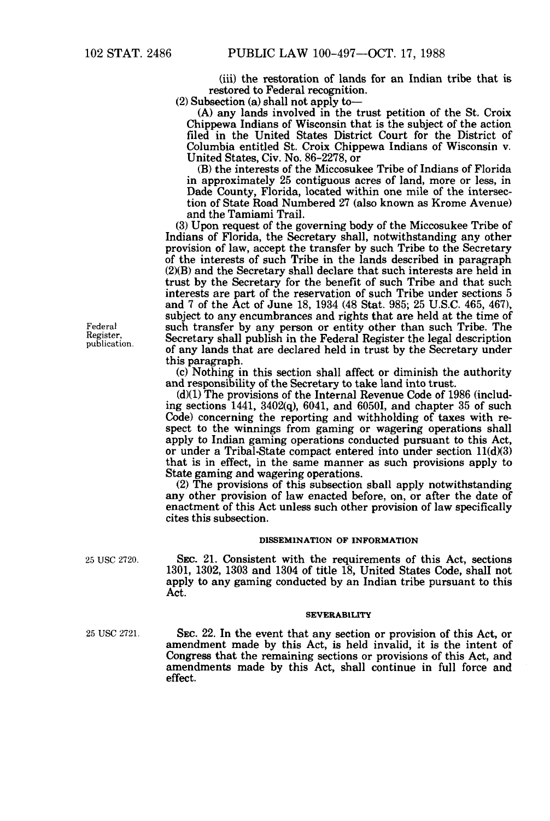(iii) the restoration of lands for an Indian tribe that is restored to Federal recognition.

 $(2)$  Subsection (a) shall not apply to-

(A) any lands involved in the trust petition of the St. Croix Chippewa Indians of Wisconsin that is the subject of the action filed in the United States District Court for the District of Columbia entitled St. Croix Chippewa Indians of Wisconsin v. United States, Civ. No. 86-2278, or

(B) the interests of the Miccosukee Tribe of Indians of Florida in approximately 25 contiguous acres of land, more or less, in Dade County, Florida, located within one mile of the intersection of State Road Numbered 27 (also known as Krome Avenue) and the Tamiami Trail.

(3) Upon request of the governing body of the Miccosukee Tribe of Indians of Florida, the Secretary shall, notwithstanding any other provision of law, accept the transfer by such Tribe to the Secretary of the interests of such Tribe in the lands described in paragraph (2)(B) and the Secretary shall declare that such interests are held in trust **by** the Secretary for the benefit of such Tribe and that such interests are part of the reservation of such Tribe under sections 5 and **7** of the Act of June 18, 1934 (48 Stat. 985; 25 U.S.C. 465, 467), subject to any encumbrances and rights that are held at the time of Federal such transfer by any person or entity other than such Tribe. The Register, Secretary shall publish in the Eodoral Begister the legal description Register, Secretary shall publish in the Federal Register the legal description publication. of any lands that are declared held in trust by the Secretary under this paragraph.

> (c) Nothing in this section shall affect or diminish the authority and responsibility of the Secretary to take land into trust.

> (d)(1) The provisions of the Internal Revenue Code of 1986 (including sections 1441, 3402(q), 6041, and 60501, and chapter 35 of such Code) concerning the reporting and withholding of taxes with respect to the winnings from gaming or wagering operations shall apply to Indian gaming operations conducted pursuant to this Act, or under a Tribal-State compact entered into under section  $11(d)(3)$ that is in effect, in the same manner as such provisions apply to State gaming and wagering operations.

> (2) The provisions of this subsection shall apply notwithstanding any other provision of law enacted before, on, or after the date of enactment of this Act unless such other provision of law specifically cites this subsection.

# **DISSEMINATION OF INFORMATION**

25 USC 2720. **SEC.** 21. Consistent with the requirements of this Act, sections 1301, 1302, 1303 and 1304 of title 18, United States Code, shall not apply to any gaming conducted by an Indian tribe pursuant to this Act.

### **SEVERABILITY**

25 USC 2721. **SEC.** 22. In the event that any section or provision of this Act, or amendment made by this Act, is held invalid, it is the intent of Congress that the remaining sections or provisions of this Act, and amendments made by this Act, shall continue in full force and effect.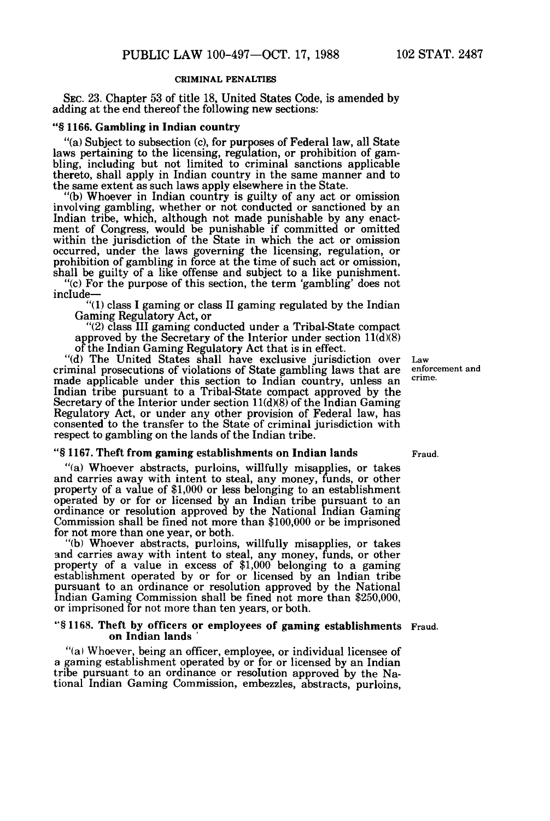## **CRIMINAL PENALTIES**

**SEC. 23.** Chapter **53** of title **18,** United States Code, is amended **by** adding at the end thereof the following new sections:

# **"§ 1166. Gambling in Indian country**

"(a) Subject to subsection (c), for purposes of Federal law, all State laws pertaining to the licensing, regulation, or prohibition of gambling, including but not limited to criminal sanctions applicable thereto, shall apply in Indian country in the same manner and to the same extent as such laws apply elsewhere in the State.

**"(b)** Whoever in Indian country is guilty of any act or omission involving gambling, whether or not conducted or sanctioned **by** an Indian tribe, which, although not made punishable **by** any enactment of Congress, would be punishable if committed or omitted within the jurisdiction of the State in which the act or omission occurred, under the laws governing the licensing, regulation, or prohibition of gambling in force at the time of such act or omission, shall be guilty of a like offense and subject to a like punishment.

"(c) For the purpose of this section, the term 'gambling' does not include-

**"(1)** class I gaming or class II gaming regulated **by** the Indian Gaming Regulatory Act, or

"(2) class III gaming conducted under a Tribal-State compact approved **by** the Secretary of the Interior under section **11(d)(8)** of the Indian Gaming Regulatory Act that is in effect.

**"(d)** The United States shall have exclusive jurisdiction over criminal prosecutions of violations of State gambling laws that are made applicable under this section to Indian country, unless an Indian tribe pursuant to a Tribal-State compact approved **by** the Secretary of the Interior under section **11(d)(8)** of the Indian Gaming Regulatory Act, or under any other provision of Federal law, has consented to the transfer to the State of criminal jurisdiction with respect to gambling on the lands of the Indian tribe.

# **"§ 1167.** Theft from gaming **establishments on Indian lands**

"(a) Whoever abstracts, purloins, willfully misapplies, or takes and carries away with intent to steal, any money, funds, or other property of a value of **\$1,000** or less belonging to an establishment operated **by** or for or licensed **by** an Indian tribe pursuant to an ordinance or resolution approved **by** the National Indian Gaming Commission shall be fined not more than **\$100,000** or be imprisoned for not more than one year, or both.

"(b) Whoever abstracts, purloins, willfully misapplies, or takes and carries away with intent to steal, any money, funds, or other property of a value in excess of \$1,000 belonging to a gaming establishment operated by or for or licensed by an Indian tribe establishment operated by or for or licensed by an Indian tribe<br>pursuant to an ordinance or resolution approved by the National Indian Gaming Commission shall be fined not more than \$250,000, or imprisoned for not more than ten years, or both.

# **"§ 1168.** Theft **by** officers or employees of gaming establishments Fraud. **on Indian lands '**

"(a) Whoever, being an officer, employee, or individual licensee of a gaming establishment operated **by** or for or licensed **by** an Indian tribe pursuant to an ordinance or resolution approved **by** the National Indian Gaming Commission, embezzles, abstracts, purloins,

enforcement and crime.

Fraud.

Law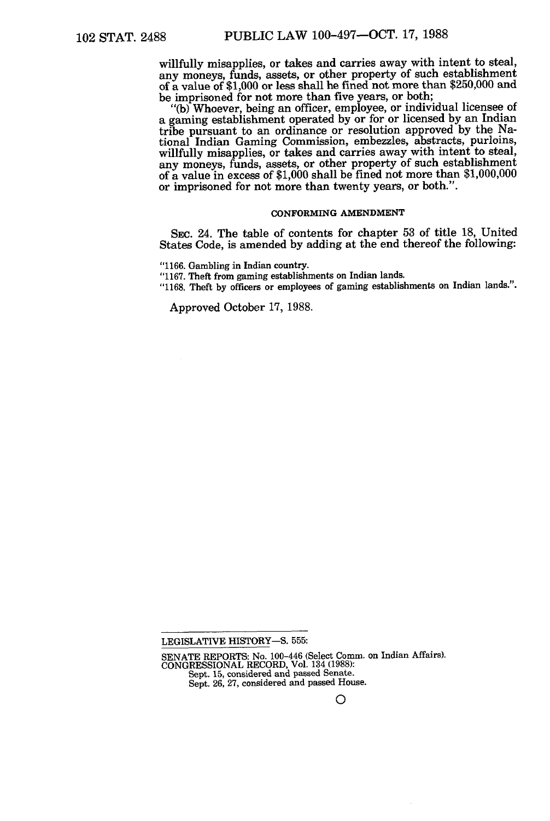willfully misapplies, or takes and carries away with intent to steal, any moneys, funds, assets, or other property of such establishment of a value of \$1,000 or less shall be fined not more than \$250,000 and be imprisoned for not more than five years, or both;

*"(b)* Whoever, being an officer, employee, or individual licensee of a gaming establishment operated by or for or licensed by an Indian tribe pursuant to an ordinance or resolution approved by the National Indian Gaming Commission, embezzles, abstracts, purloins, willfully misapplies, or takes and carries away with intent to steal, any moneys, funds, assets, or other property of such establishment of a value in excess of \$1,000 shall be fined not more than \$1,000,000 or imprisoned for not more than twenty years, or both.".

#### **CONFORMING AMENDMENT**

**SEC.** 24. The table of contents for chapter **53** of title **18,** United States Code, is amended **by** adding at the end thereof the following:

**"1166.** Gambling in Indian country.

"1167. Theft from gaming establishments on Indian lands.

"1168. Theft **by** officers or employees of gaming establishments on Indian lands.".

Approved October 17, 1988.

Sept. 15, considered and passed Senate.

LEGISLATIVE HISTORY-S. 555:

SENATE REPORTS: No. 100-446 (Select Comm. on Indian Affairs). CONGRESSIONAL RECORD, Vol. 134 (1988):

Sept. 26, 27, considered and passed House.